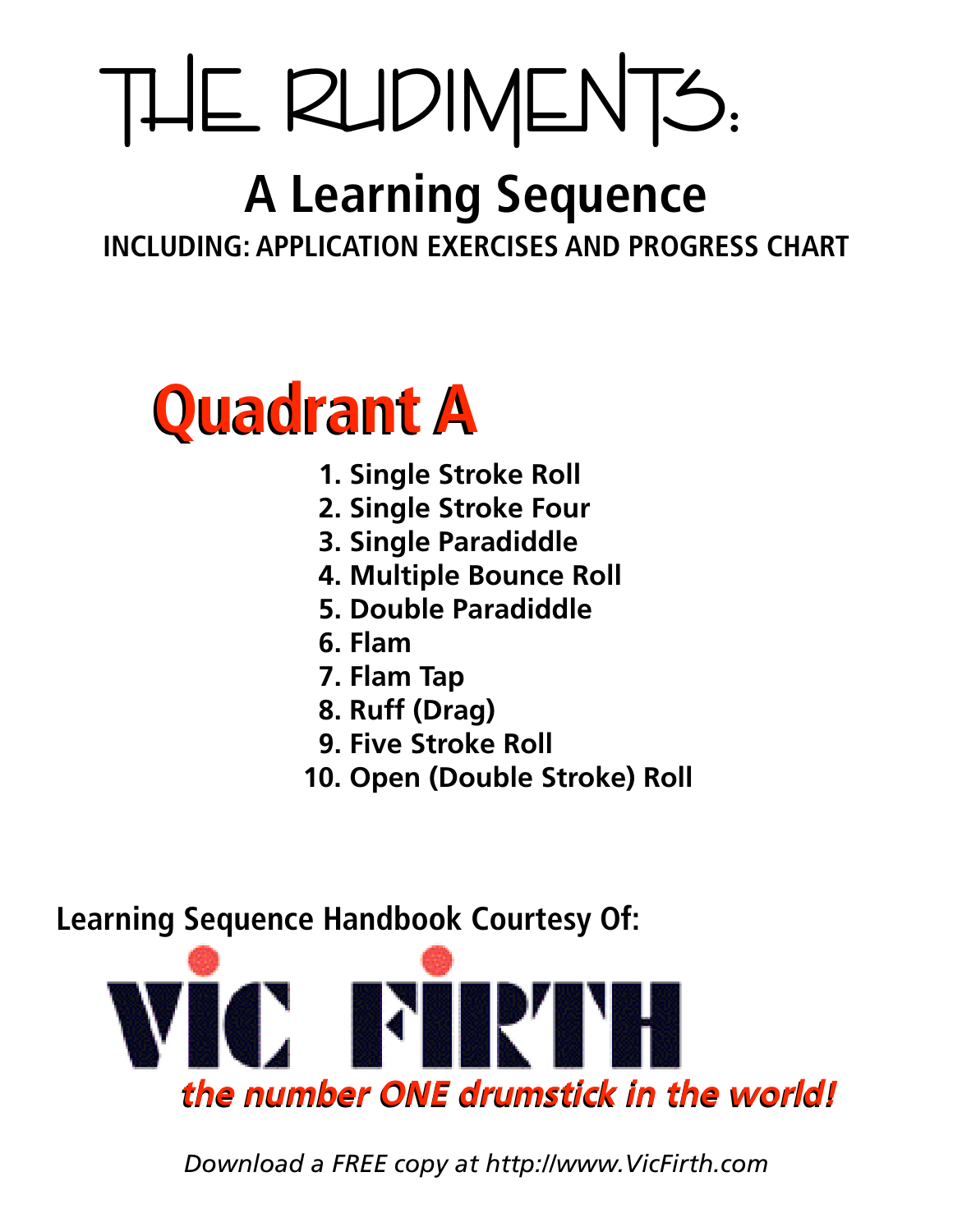# THE RUDIMENTS:

# **A Learning Sequence**

**INCLUDING: APPLICATION EXERCISES AND PROGRESS CHART**



- **1. Single Stroke Roll**
- **2. Single Stroke Four**
- **3. Single Paradiddle**
- **4. Multiple Bounce Roll**
- **5. Double Paradiddle**
- **6. Flam**
- **7. Flam Tap**
- **8. Ruff (Drag)**
- **9. Five Stroke Roll**
- **10. Open (Double Stroke) Roll**

**Learning Sequence Handbook Courtesy Of:**



*Download a FREE copy at http://www.VicFirth.com*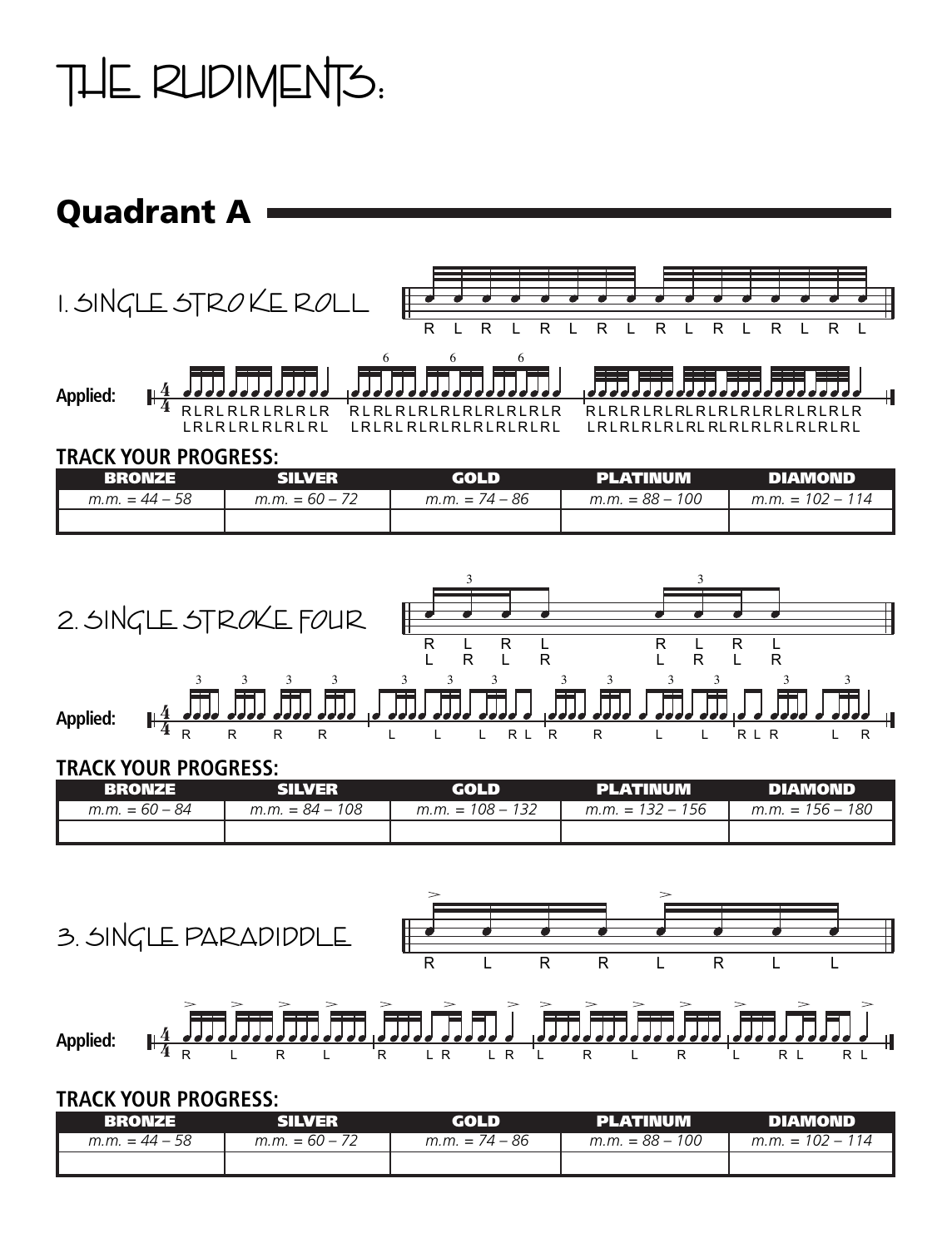## THE RUDIMENTS:

### Quadrant A



#### **TRACK YOUR PROGRESS:**

| <b>RRONZE</b>    | <b>SILVER</b>    | GOLD             | <b>PLATINUM</b>   | <b>DIAMOND</b>     |
|------------------|------------------|------------------|-------------------|--------------------|
| $m.m. = 44 - 58$ | $m.m. = 60 - 72$ | $m.m. = 74 - 86$ | $m.m. = 88 - 100$ | $m.m. = 102 - 114$ |
|                  |                  |                  |                   |                    |



#### **TRACK YOUR PROGRESS:**

| <b>RRONZE</b>    | <b>SILVER</b>     | <b>GOLD</b>        | PLATINUM           | DIAMOND            |
|------------------|-------------------|--------------------|--------------------|--------------------|
| $m.m. = 60 - 84$ | $m.m. = 84 - 108$ | $m.m. = 108 - 132$ | $m.m. = 132 - 156$ | $m.m. = 156 - 180$ |
|                  |                   |                    |                    |                    |



**Applied:** R L R L R L R L R L R L R L R L R L

#### **TRACK YOUR PROGRESS:**

| RRONZE           | SILVER           | GOLD             | PLATINUM          | <b>DIAMOND</b>     |
|------------------|------------------|------------------|-------------------|--------------------|
| $m.m. = 44 - 58$ | $m.m. = 60 - 72$ | $m.m. = 74 - 86$ | $m.m. = 88 - 100$ | $m.m. = 102 - 114$ |
|                  |                  |                  |                   |                    |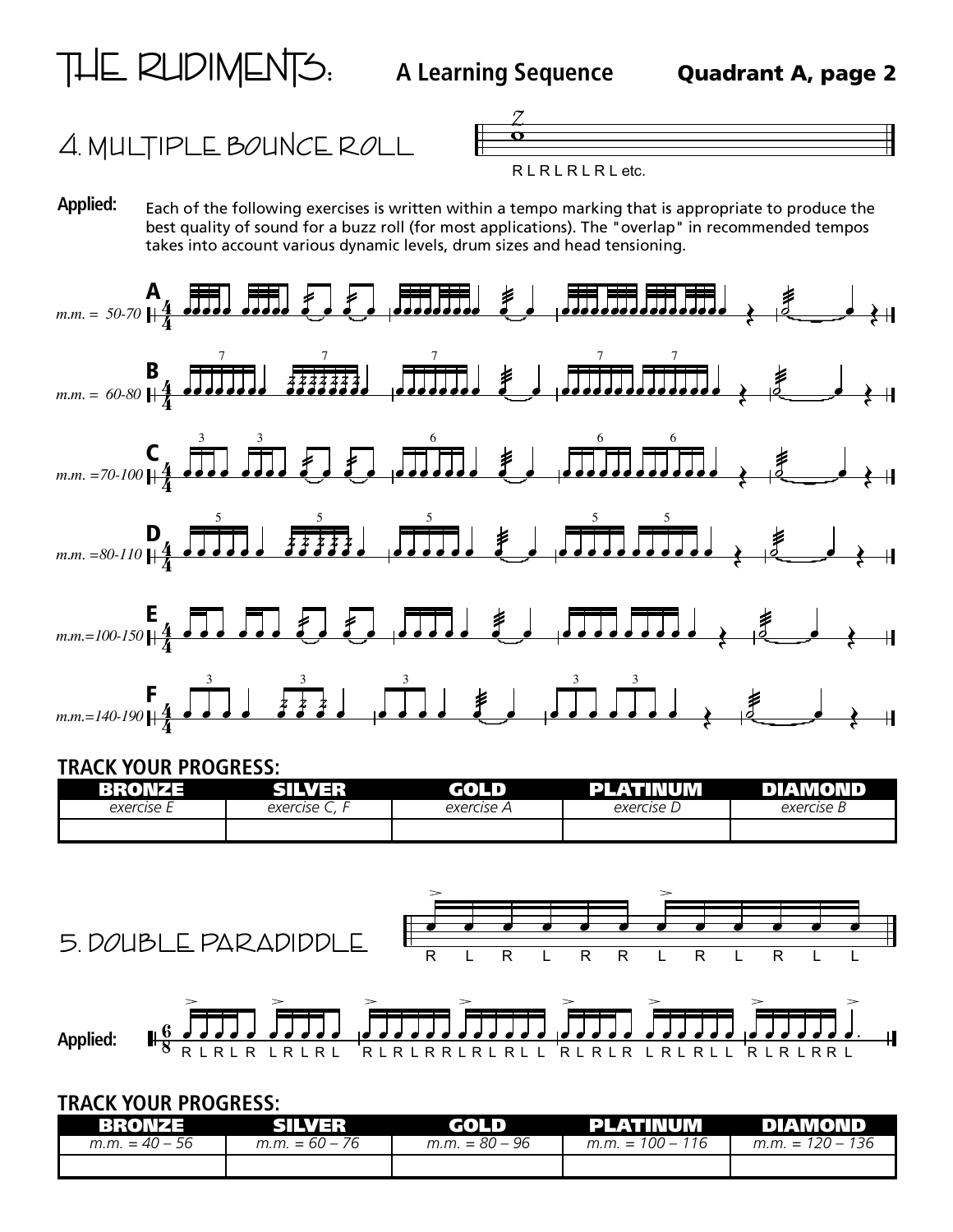



R L R L R L R L etc.

**Applied:** Each of the following exercises is written within a tempo marking that is appropriate to produce the best quality of sound for a buzz roll (for most applications). The "overlap" in recommended tempos takes into account various dynamic levels, drum sizes and head tensioning.



#### **TRACK YOUR PROGRESS:**

| 69 E       | 733              | чπυ.       | 71 T T<br>.<br>Ш | $\mathbf{L}$<br>٠U |
|------------|------------------|------------|------------------|--------------------|
| exercise E | ∽<br>exercise C, | exercise A | exercise         | exercise b         |
|            |                  |            |                  |                    |



**Applied:** R L R L R L R L R L R L R L R R L R L R L L R L R L R L R L R L L R L R L R R L

#### **TRACK YOUR PROGRESS:**

| <b>BRONZE</b>    | SILVER           | GOLD             | <b>Example 19 PLATINUM</b> | <b>DIAMOND</b>     |
|------------------|------------------|------------------|----------------------------|--------------------|
| $m.m. = 40 - 56$ | $m.m. = 60 - 76$ | $m.m. = 80 - 96$ | $m.m. = 100 - 116$         | $m.m. = 120 - 136$ |
|                  |                  |                  |                            |                    |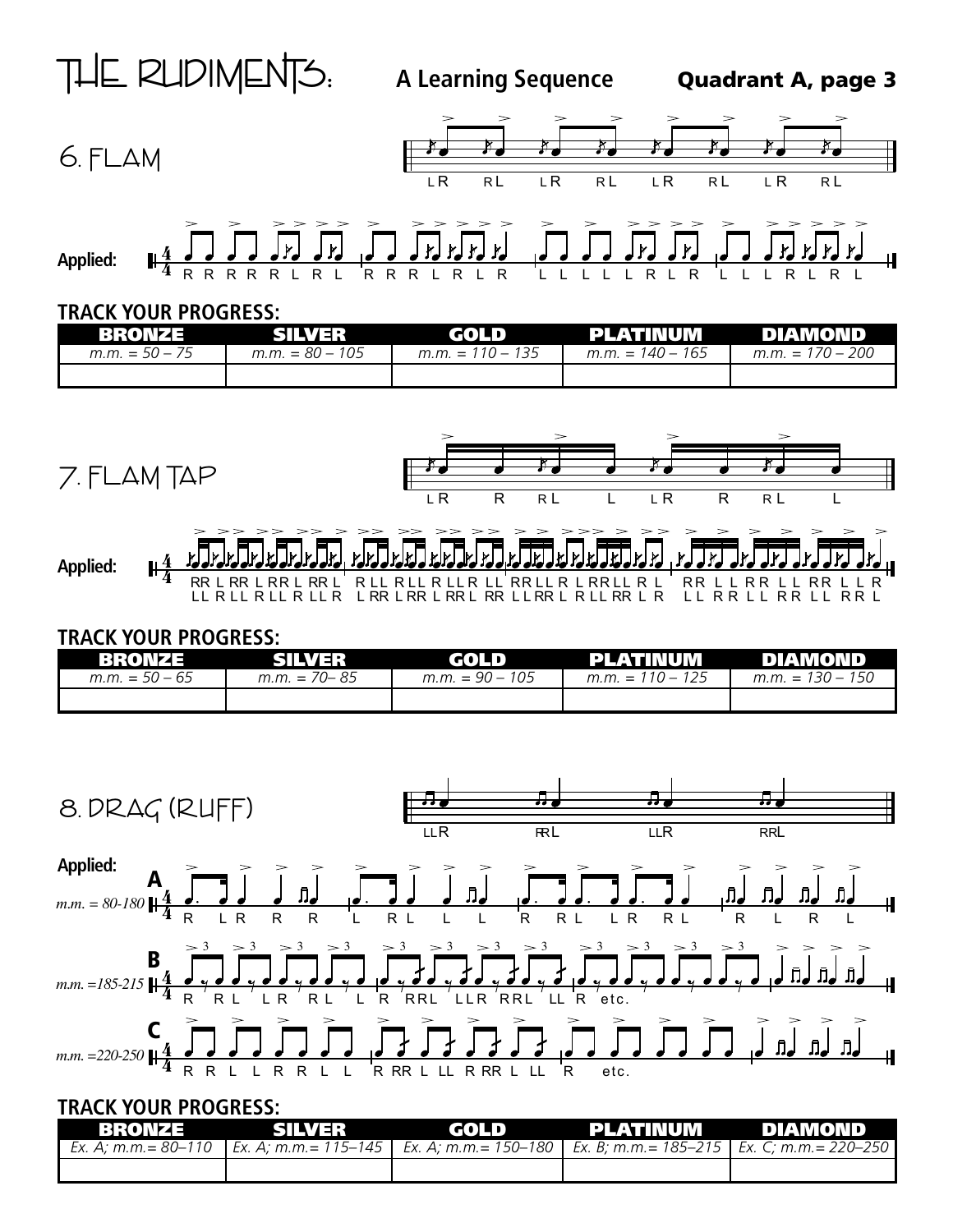







#### **TRACK YOUR PROGRESS:**

| BROMZE           | <b>SILVER</b>     | GOLD               | PLATINUM           | <b>NO DIAMOND</b>  |
|------------------|-------------------|--------------------|--------------------|--------------------|
| $m.m. = 50 - 75$ | $m.m. = 80 - 105$ | $m.m. = 110 - 135$ | $m.m. = 140 - 165$ | $m.m. = 170 - 200$ |
|                  |                   |                    |                    |                    |



#### **TRACK YOUR PROGRESS:**

| BRONZE           | SILVER           | GOLD              | PLATINUM           | DIAMOND            |
|------------------|------------------|-------------------|--------------------|--------------------|
| $m.m. = 50 - 65$ | $m.m. = 70 - 85$ | $m.m. = 90 - 105$ | $m.m. = 110 - 125$ | $m.m. = 130 - 150$ |
|                  |                  |                   |                    |                    |



#### **TRACK YOUR PROGRESS:**

|  | BRONZE SILVER GOLD PLATINUM DIAMOND                                                                             |  |
|--|-----------------------------------------------------------------------------------------------------------------|--|
|  | Ex. A; m.m.= 80–110   Ex. A; m.m.= 115–145   Ex. A; m.m.= 150–180   Ex. B; m.m.= 185–215   Ex. C; m.m.= 220–250 |  |
|  |                                                                                                                 |  |